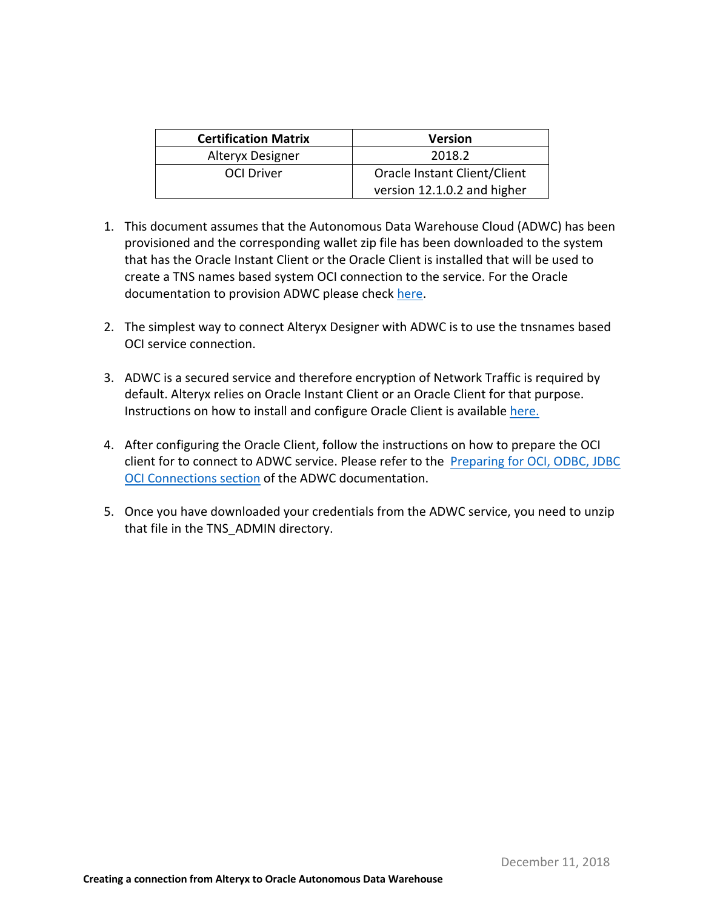| <b>Certification Matrix</b> | <b>Version</b>               |  |  |
|-----------------------------|------------------------------|--|--|
| Alteryx Designer            | 2018.2                       |  |  |
| <b>OCI Driver</b>           | Oracle Instant Client/Client |  |  |
|                             | version 12.1.0.2 and higher  |  |  |

- 1. This document assumes that the Autonomous Data Warehouse Cloud (ADWC) has been provisioned and the corresponding wallet zip file has been downloaded to the system that has the Oracle Instant Client or the Oracle Client is installed that will be used to create a TNS names based system OCI connection to the service. For the Oracle documentation to provision ADWC please check here.
- 2. The simplest way to connect Alteryx Designer with ADWC is to use the tnsnames based OCI service connection.
- 3. ADWC is a secured service and therefore encryption of Network Traffic is required by default. Alteryx relies on Oracle Instant Client or an Oracle Client for that purpose. Instructions on how to install and configure Oracle Client is available here.
- 4. After configuring the Oracle Client, follow the instructions on how to prepare the OCI client for to connect to ADWC service. Please refer to the Preparing for OCI, ODBC, JDBC OCI Connections section of the ADWC documentation.
- 5. Once you have downloaded your credentials from the ADWC service, you need to unzip that file in the TNS\_ADMIN directory.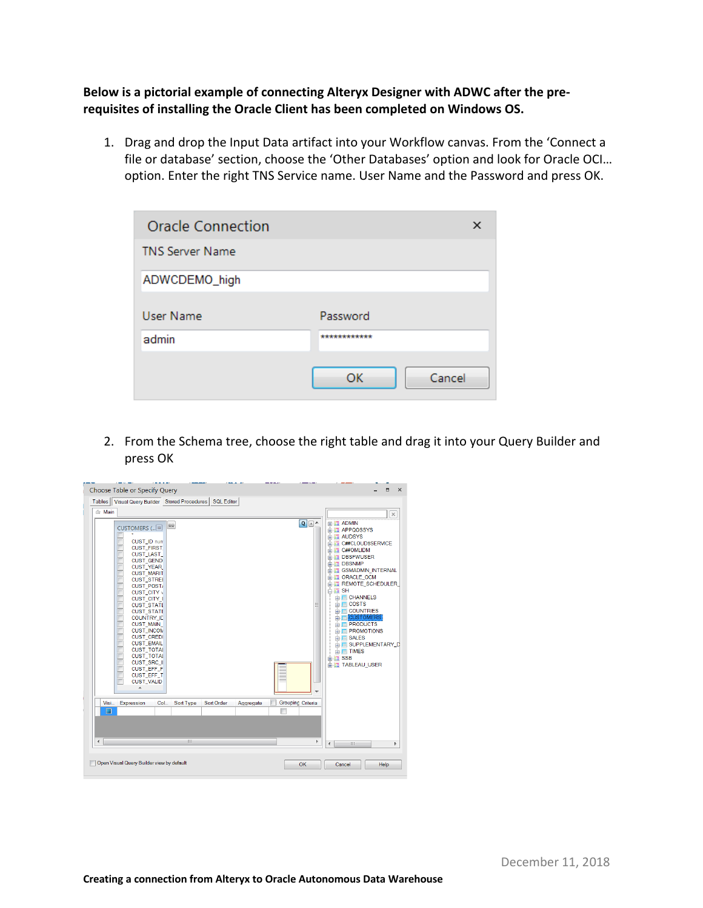**Below is a pictorial example of connecting Alteryx Designer with ADWC after the prerequisites of installing the Oracle Client has been completed on Windows OS.** 

 1. Drag and drop the Input Data artifact into your Workflow canvas. From the 'Connect a file or database' section, choose the 'Other Databases' option and look for Oracle OCI… option. Enter the right TNS Service name. User Name and the Password and press OK.

| <b>Oracle Connection</b> | x            |
|--------------------------|--------------|
| <b>TNS Server Name</b>   |              |
| ADWCDEMO_high            |              |
| User Name                | Password     |
| admin                    | ************ |
|                          | Cancel<br>ОК |

 2. From the Schema tree, choose the right table and drag it into your Query Builder and press OK